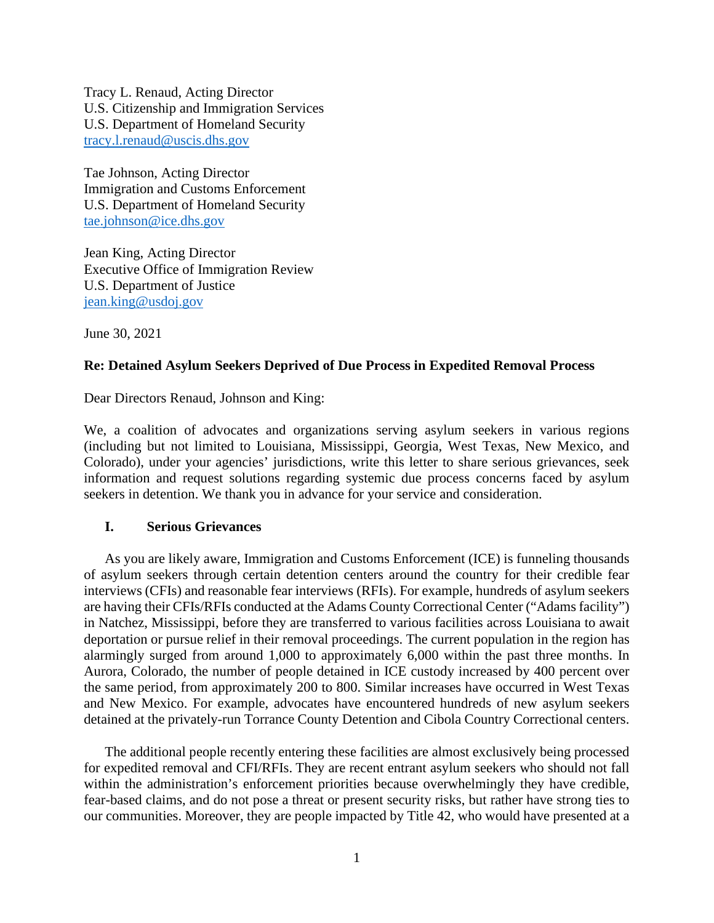Tracy L. Renaud, Acting Director U.S. Citizenship and Immigration Services U.S. Department of Homeland Security [tracy.l.renaud@uscis.dhs.gov](mailto:tracy.l.renaud@uscis.dhs.gov)

Tae Johnson, Acting Director Immigration and Customs Enforcement U.S. Department of Homeland Security [tae.johnson@ice.dhs.gov](mailto:tae.johnson@ice.dhs.gov)

Jean King, Acting Director Executive Office of Immigration Review U.S. Department of Justice [jean.king@usdoj.gov](mailto:jean.king@usdoj.gov)

June 30, 2021

### **Re: Detained Asylum Seekers Deprived of Due Process in Expedited Removal Process**

Dear Directors Renaud, Johnson and King:

We, a coalition of advocates and organizations serving asylum seekers in various regions (including but not limited to Louisiana, Mississippi, Georgia, West Texas, New Mexico, and Colorado), under your agencies' jurisdictions, write this letter to share serious grievances, seek information and request solutions regarding systemic due process concerns faced by asylum seekers in detention. We thank you in advance for your service and consideration.

#### **I. Serious Grievances**

As you are likely aware, Immigration and Customs Enforcement (ICE) is funneling thousands of asylum seekers through certain detention centers around the country for their credible fear interviews (CFIs) and reasonable fear interviews (RFIs). For example, hundreds of asylum seekers are having their CFIs/RFIs conducted at the Adams County Correctional Center ("Adams facility") in Natchez, Mississippi, before they are transferred to various facilities across Louisiana to await deportation or pursue relief in their removal proceedings. The current population in the region has alarmingly surged from around 1,000 to approximately 6,000 within the past three months. In Aurora, Colorado, the number of people detained in ICE custody increased by 400 percent over the same period, from approximately 200 to 800. Similar increases have occurred in West Texas and New Mexico. For example, advocates have encountered hundreds of new asylum seekers detained at the privately-run Torrance County Detention and Cibola Country Correctional centers.

The additional people recently entering these facilities are almost exclusively being processed for expedited removal and CFI/RFIs. They are recent entrant asylum seekers who should not fall within the administration's enforcement priorities because overwhelmingly they have credible, fear-based claims, and do not pose a threat or present security risks, but rather have strong ties to our communities. Moreover, they are people impacted by Title 42, who would have presented at a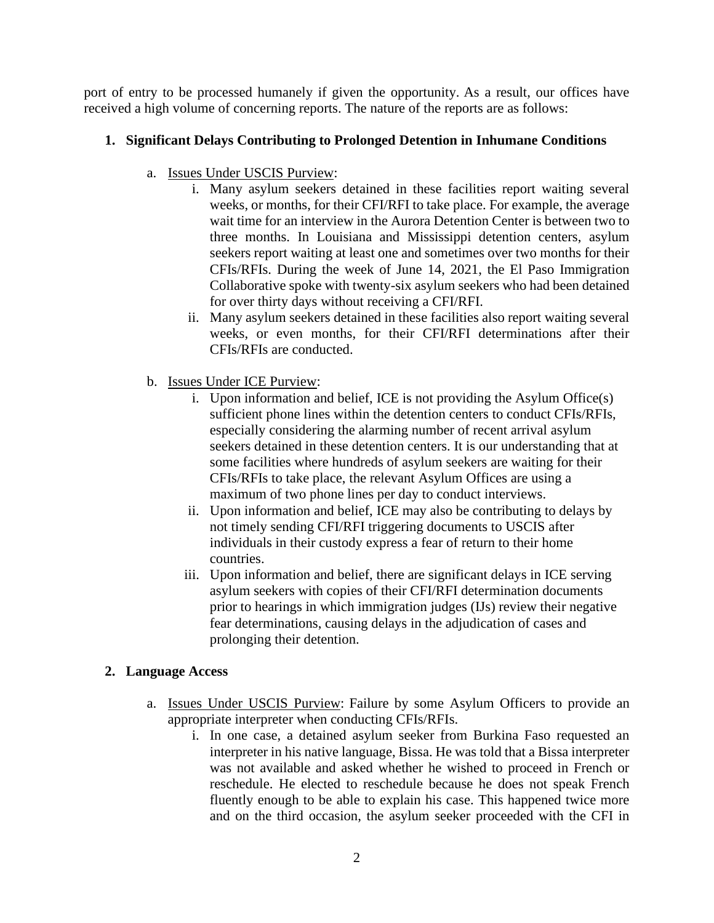port of entry to be processed humanely if given the opportunity. As a result, our offices have received a high volume of concerning reports. The nature of the reports are as follows:

# **1. Significant Delays Contributing to Prolonged Detention in Inhumane Conditions**

- a. Issues Under USCIS Purview:
	- i. Many asylum seekers detained in these facilities report waiting several weeks, or months, for their CFI/RFI to take place. For example, the average wait time for an interview in the Aurora Detention Center is between two to three months. In Louisiana and Mississippi detention centers, asylum seekers report waiting at least one and sometimes over two months for their CFIs/RFIs. During the week of June 14, 2021, the El Paso Immigration Collaborative spoke with twenty-six asylum seekers who had been detained for over thirty days without receiving a CFI/RFI.
	- ii. Many asylum seekers detained in these facilities also report waiting several weeks, or even months, for their CFI/RFI determinations after their CFIs/RFIs are conducted.
- b. Issues Under ICE Purview:
	- i. Upon information and belief, ICE is not providing the Asylum Office(s) sufficient phone lines within the detention centers to conduct CFIs/RFIs, especially considering the alarming number of recent arrival asylum seekers detained in these detention centers. It is our understanding that at some facilities where hundreds of asylum seekers are waiting for their CFIs/RFIs to take place, the relevant Asylum Offices are using a maximum of two phone lines per day to conduct interviews.
	- ii. Upon information and belief, ICE may also be contributing to delays by not timely sending CFI/RFI triggering documents to USCIS after individuals in their custody express a fear of return to their home countries.
	- iii. Upon information and belief, there are significant delays in ICE serving asylum seekers with copies of their CFI/RFI determination documents prior to hearings in which immigration judges (IJs) review their negative fear determinations, causing delays in the adjudication of cases and prolonging their detention.

# **2. Language Access**

- a. Issues Under USCIS Purview: Failure by some Asylum Officers to provide an appropriate interpreter when conducting CFIs/RFIs.
	- i. In one case, a detained asylum seeker from Burkina Faso requested an interpreter in his native language, Bissa. He was told that a Bissa interpreter was not available and asked whether he wished to proceed in French or reschedule. He elected to reschedule because he does not speak French fluently enough to be able to explain his case. This happened twice more and on the third occasion, the asylum seeker proceeded with the CFI in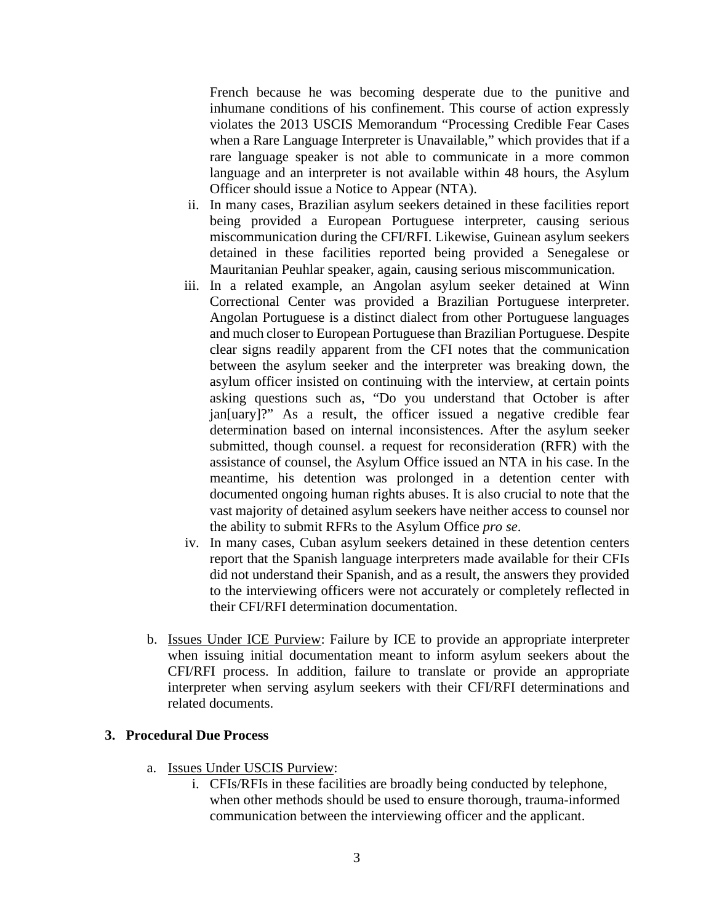French because he was becoming desperate due to the punitive and inhumane conditions of his confinement. This course of action expressly violates the 2013 USCIS Memorandum "Processing Credible Fear Cases when a Rare Language Interpreter is Unavailable," which provides that if a rare language speaker is not able to communicate in a more common language and an interpreter is not available within 48 hours, the Asylum Officer should issue a Notice to Appear (NTA).

- ii. In many cases, Brazilian asylum seekers detained in these facilities report being provided a European Portuguese interpreter, causing serious miscommunication during the CFI/RFI. Likewise, Guinean asylum seekers detained in these facilities reported being provided a Senegalese or Mauritanian Peuhlar speaker, again, causing serious miscommunication.
- iii. In a related example, an Angolan asylum seeker detained at Winn Correctional Center was provided a Brazilian Portuguese interpreter. Angolan Portuguese is a distinct dialect from other Portuguese languages and much closer to European Portuguese than Brazilian Portuguese. Despite clear signs readily apparent from the CFI notes that the communication between the asylum seeker and the interpreter was breaking down, the asylum officer insisted on continuing with the interview, at certain points asking questions such as, "Do you understand that October is after jan[uary]?" As a result, the officer issued a negative credible fear determination based on internal inconsistences. After the asylum seeker submitted, though counsel. a request for reconsideration (RFR) with the assistance of counsel, the Asylum Office issued an NTA in his case. In the meantime, his detention was prolonged in a detention center with documented ongoing human rights abuses. It is also crucial to note that the vast majority of detained asylum seekers have neither access to counsel nor the ability to submit RFRs to the Asylum Office *pro se*.
- iv. In many cases, Cuban asylum seekers detained in these detention centers report that the Spanish language interpreters made available for their CFIs did not understand their Spanish, and as a result, the answers they provided to the interviewing officers were not accurately or completely reflected in their CFI/RFI determination documentation.
- b. Issues Under ICE Purview: Failure by ICE to provide an appropriate interpreter when issuing initial documentation meant to inform asylum seekers about the CFI/RFI process. In addition, failure to translate or provide an appropriate interpreter when serving asylum seekers with their CFI/RFI determinations and related documents.

#### **3. Procedural Due Process**

- a. Issues Under USCIS Purview:
	- i. CFIs/RFIs in these facilities are broadly being conducted by telephone, when other methods should be used to ensure thorough, trauma-informed communication between the interviewing officer and the applicant.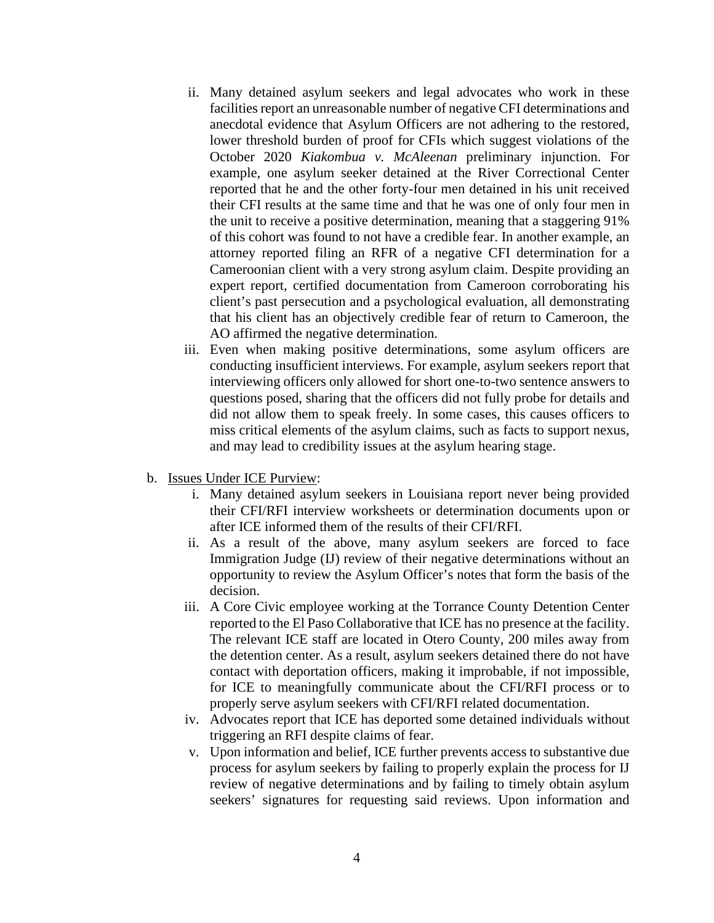- ii. Many detained asylum seekers and legal advocates who work in these facilities report an unreasonable number of negative CFI determinations and anecdotal evidence that Asylum Officers are not adhering to the restored, lower threshold burden of proof for CFIs which suggest violations of the October 2020 *Kiakombua v. McAleenan* preliminary injunction. For example, one asylum seeker detained at the River Correctional Center reported that he and the other forty-four men detained in his unit received their CFI results at the same time and that he was one of only four men in the unit to receive a positive determination, meaning that a staggering 91% of this cohort was found to not have a credible fear. In another example, an attorney reported filing an RFR of a negative CFI determination for a Cameroonian client with a very strong asylum claim. Despite providing an expert report, certified documentation from Cameroon corroborating his client's past persecution and a psychological evaluation, all demonstrating that his client has an objectively credible fear of return to Cameroon, the AO affirmed the negative determination.
- iii. Even when making positive determinations, some asylum officers are conducting insufficient interviews. For example, asylum seekers report that interviewing officers only allowed for short one-to-two sentence answers to questions posed, sharing that the officers did not fully probe for details and did not allow them to speak freely. In some cases, this causes officers to miss critical elements of the asylum claims, such as facts to support nexus, and may lead to credibility issues at the asylum hearing stage.
- b. Issues Under ICE Purview:
	- i. Many detained asylum seekers in Louisiana report never being provided their CFI/RFI interview worksheets or determination documents upon or after ICE informed them of the results of their CFI/RFI.
	- ii. As a result of the above, many asylum seekers are forced to face Immigration Judge (IJ) review of their negative determinations without an opportunity to review the Asylum Officer's notes that form the basis of the decision.
	- iii. A Core Civic employee working at the Torrance County Detention Center reported to the El Paso Collaborative that ICE has no presence at the facility. The relevant ICE staff are located in Otero County, 200 miles away from the detention center. As a result, asylum seekers detained there do not have contact with deportation officers, making it improbable, if not impossible, for ICE to meaningfully communicate about the CFI/RFI process or to properly serve asylum seekers with CFI/RFI related documentation.
	- iv. Advocates report that ICE has deported some detained individuals without triggering an RFI despite claims of fear.
	- v. Upon information and belief, ICE further prevents access to substantive due process for asylum seekers by failing to properly explain the process for IJ review of negative determinations and by failing to timely obtain asylum seekers' signatures for requesting said reviews. Upon information and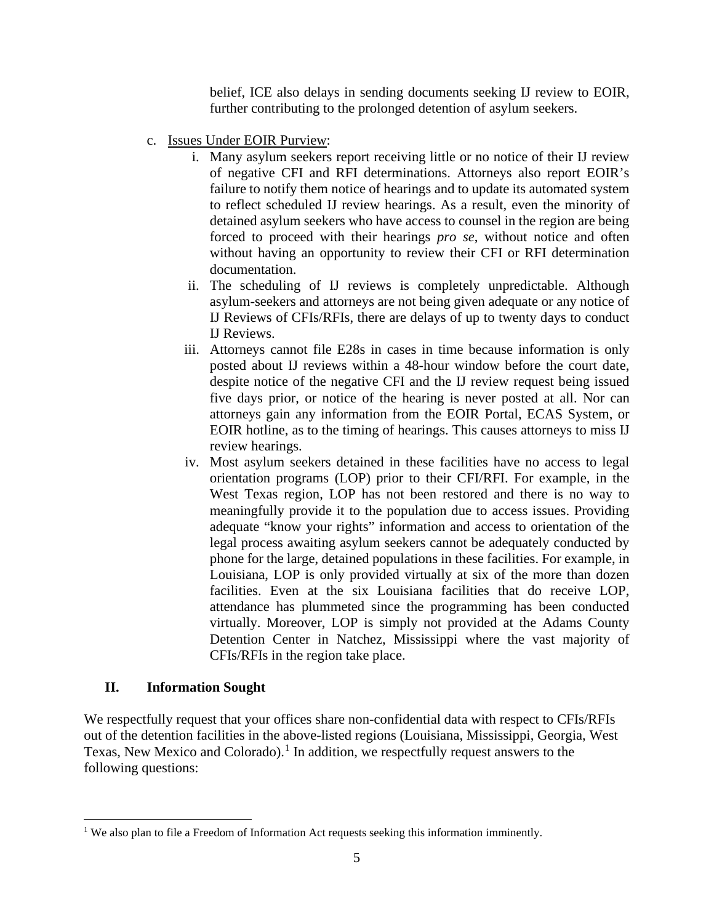belief, ICE also delays in sending documents seeking IJ review to EOIR, further contributing to the prolonged detention of asylum seekers.

- c. Issues Under EOIR Purview:
	- i. Many asylum seekers report receiving little or no notice of their IJ review of negative CFI and RFI determinations. Attorneys also report EOIR's failure to notify them notice of hearings and to update its automated system to reflect scheduled IJ review hearings. As a result, even the minority of detained asylum seekers who have access to counsel in the region are being forced to proceed with their hearings *pro se*, without notice and often without having an opportunity to review their CFI or RFI determination documentation.
	- ii. The scheduling of IJ reviews is completely unpredictable. Although asylum-seekers and attorneys are not being given adequate or any notice of IJ Reviews of CFIs/RFIs, there are delays of up to twenty days to conduct IJ Reviews.
	- iii. Attorneys cannot file E28s in cases in time because information is only posted about IJ reviews within a 48-hour window before the court date, despite notice of the negative CFI and the IJ review request being issued five days prior, or notice of the hearing is never posted at all. Nor can attorneys gain any information from the EOIR Portal, ECAS System, or EOIR hotline, as to the timing of hearings. This causes attorneys to miss IJ review hearings.
	- iv. Most asylum seekers detained in these facilities have no access to legal orientation programs (LOP) prior to their CFI/RFI. For example, in the West Texas region, LOP has not been restored and there is no way to meaningfully provide it to the population due to access issues. Providing adequate "know your rights" information and access to orientation of the legal process awaiting asylum seekers cannot be adequately conducted by phone for the large, detained populations in these facilities. For example, in Louisiana, LOP is only provided virtually at six of the more than dozen facilities. Even at the six Louisiana facilities that do receive LOP, attendance has plummeted since the programming has been conducted virtually. Moreover, LOP is simply not provided at the Adams County Detention Center in Natchez, Mississippi where the vast majority of CFIs/RFIs in the region take place.

### **II. Information Sought**

We respectfully request that your offices share non-confidential data with respect to CFIs/RFIs out of the detention facilities in the above-listed regions (Louisiana, Mississippi, Georgia, West Texas, New Mexico and Colorado). [1](#page-4-0) In addition, we respectfully request answers to the following questions:

<span id="page-4-0"></span><sup>&</sup>lt;sup>1</sup> We also plan to file a Freedom of Information Act requests seeking this information imminently.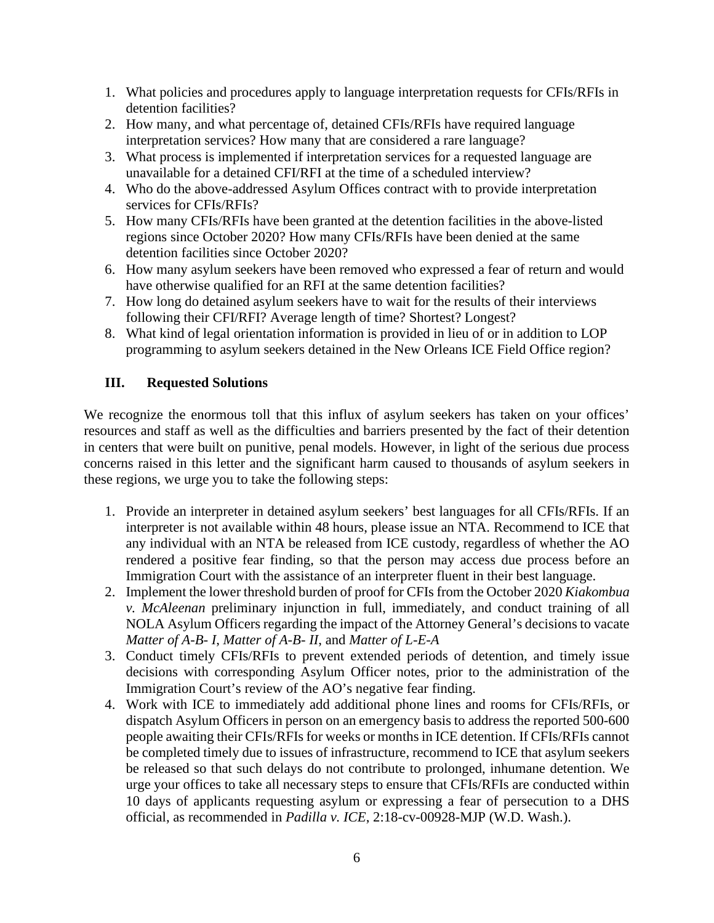- 1. What policies and procedures apply to language interpretation requests for CFIs/RFIs in detention facilities?
- 2. How many, and what percentage of, detained CFIs/RFIs have required language interpretation services? How many that are considered a rare language?
- 3. What process is implemented if interpretation services for a requested language are unavailable for a detained CFI/RFI at the time of a scheduled interview?
- 4. Who do the above-addressed Asylum Offices contract with to provide interpretation services for CFIs/RFIs?
- 5. How many CFIs/RFIs have been granted at the detention facilities in the above-listed regions since October 2020? How many CFIs/RFIs have been denied at the same detention facilities since October 2020?
- 6. How many asylum seekers have been removed who expressed a fear of return and would have otherwise qualified for an RFI at the same detention facilities?
- 7. How long do detained asylum seekers have to wait for the results of their interviews following their CFI/RFI? Average length of time? Shortest? Longest?
- 8. What kind of legal orientation information is provided in lieu of or in addition to LOP programming to asylum seekers detained in the New Orleans ICE Field Office region?

# **III. Requested Solutions**

We recognize the enormous toll that this influx of asylum seekers has taken on your offices' resources and staff as well as the difficulties and barriers presented by the fact of their detention in centers that were built on punitive, penal models. However, in light of the serious due process concerns raised in this letter and the significant harm caused to thousands of asylum seekers in these regions, we urge you to take the following steps:

- 1. Provide an interpreter in detained asylum seekers' best languages for all CFIs/RFIs. If an interpreter is not available within 48 hours, please issue an NTA. Recommend to ICE that any individual with an NTA be released from ICE custody, regardless of whether the AO rendered a positive fear finding, so that the person may access due process before an Immigration Court with the assistance of an interpreter fluent in their best language.
- 2. Implement the lower threshold burden of proof for CFIs from the October 2020 *Kiakombua v. McAleenan* preliminary injunction in full, immediately, and conduct training of all NOLA Asylum Officers regarding the impact of the Attorney General's decisions to vacate *Matter of A-B- I*, *Matter of A-B- II*, and *Matter of L-E-A*
- 3. Conduct timely CFIs/RFIs to prevent extended periods of detention, and timely issue decisions with corresponding Asylum Officer notes, prior to the administration of the Immigration Court's review of the AO's negative fear finding.
- 4. Work with ICE to immediately add additional phone lines and rooms for CFIs/RFIs, or dispatch Asylum Officers in person on an emergency basis to address the reported 500-600 people awaiting their CFIs/RFIs for weeks or months in ICE detention. If CFIs/RFIs cannot be completed timely due to issues of infrastructure, recommend to ICE that asylum seekers be released so that such delays do not contribute to prolonged, inhumane detention. We urge your offices to take all necessary steps to ensure that CFIs/RFIs are conducted within 10 days of applicants requesting asylum or expressing a fear of persecution to a DHS official, as recommended in *Padilla v. ICE*, 2:18-cv-00928-MJP (W.D. Wash.).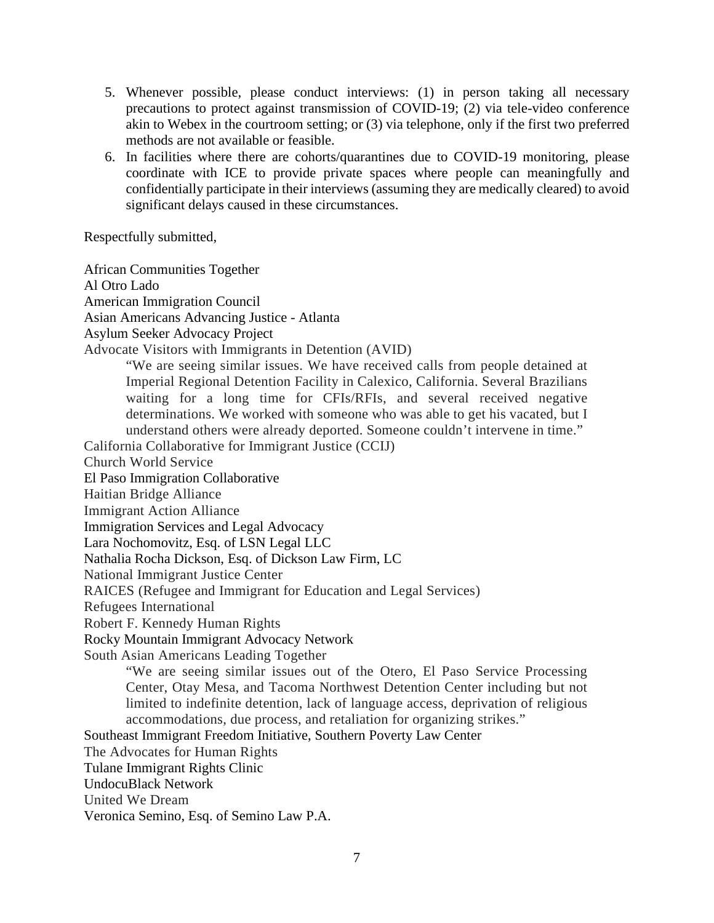- 5. Whenever possible, please conduct interviews: (1) in person taking all necessary precautions to protect against transmission of COVID-19; (2) via tele-video conference akin to Webex in the courtroom setting; or (3) via telephone, only if the first two preferred methods are not available or feasible.
- 6. In facilities where there are cohorts/quarantines due to COVID-19 monitoring, please coordinate with ICE to provide private spaces where people can meaningfully and confidentially participate in their interviews (assuming they are medically cleared) to avoid significant delays caused in these circumstances.

Respectfully submitted,

African Communities Together Al Otro Lado American Immigration Council Asian Americans Advancing Justice - Atlanta Asylum Seeker Advocacy Project Advocate Visitors with Immigrants in Detention (AVID) "We are seeing similar issues. We have received calls from people detained at Imperial Regional Detention Facility in Calexico, California. Several Brazilians waiting for a long time for CFIs/RFIs, and several received negative determinations. We worked with someone who was able to get his vacated, but I understand others were already deported. Someone couldn't intervene in time." California Collaborative for Immigrant Justice (CCIJ) Church World Service El Paso Immigration Collaborative Haitian Bridge Alliance Immigrant Action Alliance Immigration Services and Legal Advocacy Lara Nochomovitz, Esq. of LSN Legal LLC Nathalia Rocha Dickson, Esq. of Dickson Law Firm, LC National Immigrant Justice Center RAICES (Refugee and Immigrant for Education and Legal Services) Refugees International Robert F. Kennedy Human Rights Rocky Mountain Immigrant Advocacy Network South Asian Americans Leading Together "We are seeing similar issues out of the Otero, El Paso Service Processing Center, Otay Mesa, and Tacoma Northwest Detention Center including but not limited to indefinite detention, lack of language access, deprivation of religious accommodations, due process, and retaliation for organizing strikes." Southeast Immigrant Freedom Initiative, Southern Poverty Law Center The Advocates for Human Rights Tulane Immigrant Rights Clinic UndocuBlack Network United We Dream Veronica Semino, Esq. of Semino Law P.A.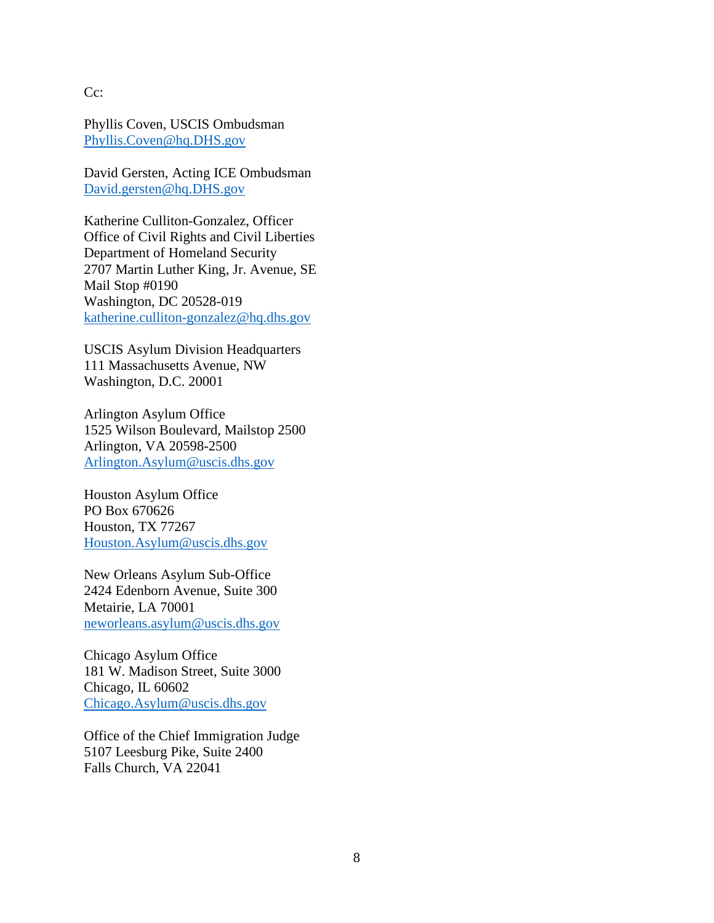Cc:

Phyllis Coven, USCIS Ombudsman [Phyllis.Coven@hq.DHS.gov](mailto:Phyllis.Coven@hq.DHS.gov)

David Gersten, Acting ICE Ombudsman [David.gersten@hq.DHS.gov](mailto:David.gersten@hq.DHS.gov)

Katherine Culliton-Gonzalez, Officer Office of Civil Rights and Civil Liberties Department of Homeland Security 2707 Martin Luther King, Jr. Avenue, SE Mail Stop #0190 Washington, DC 20528-019 [katherine.culliton-gonzalez@hq.dhs.gov](mailto:katherine.culliton-gonzalez@hq.dhs.gov)

USCIS Asylum Division Headquarters 111 Massachusetts Avenue, NW Washington, D.C. 20001

Arlington Asylum Office 1525 Wilson Boulevard, Mailstop 2500 Arlington, VA 20598-2500 [Arlington.Asylum@uscis.dhs.gov](mailto:Arlington.Asylum@uscis.dhs.gov)

Houston Asylum Office PO Box 670626 Houston, TX 77267 [Houston.Asylum@uscis.dhs.gov](mailto:Houston.Asylum@uscis.dhs.gov)

New Orleans Asylum Sub-Office 2424 Edenborn Avenue, Suite 300 Metairie, LA 70001 [neworleans.asylum@uscis.dhs.gov](mailto:neworleans.asylum@uscis.dhs.gov)

Chicago Asylum Office 181 W. Madison Street, Suite 3000 Chicago, IL 60602 [Chicago.Asylum@uscis.dhs.gov](mailto:Chicago.Asylum@uscis.dhs.gov)

Office of the Chief Immigration Judge 5107 Leesburg Pike, Suite 2400 Falls Church, VA 22041